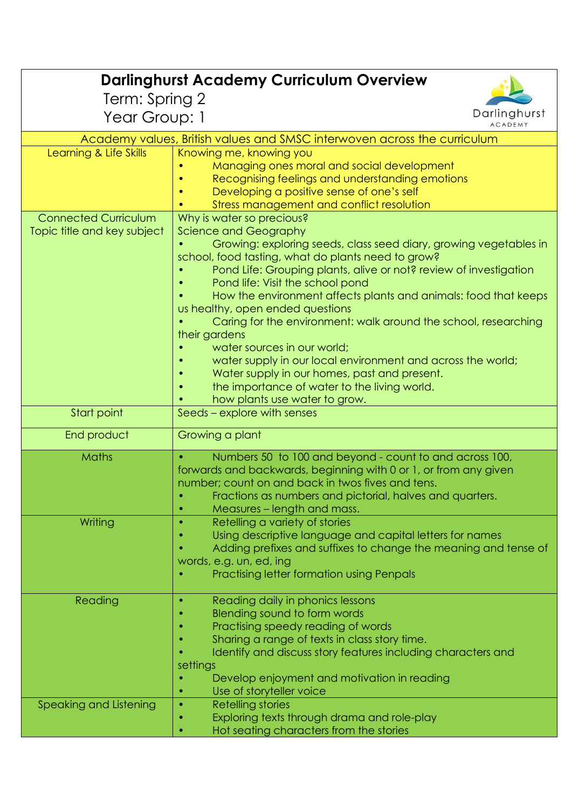| <b>Darlinghurst Academy Curriculum Overview</b>                          |                                                                                                                       |  |
|--------------------------------------------------------------------------|-----------------------------------------------------------------------------------------------------------------------|--|
| Term: Spring 2                                                           |                                                                                                                       |  |
| Year Group: 1                                                            | Darlinghurst<br><b>ACADEMY</b>                                                                                        |  |
| Academy values, British values and SMSC interwoven across the curriculum |                                                                                                                       |  |
| Learning & Life Skills                                                   | Knowing me, knowing you                                                                                               |  |
|                                                                          | Managing ones moral and social development                                                                            |  |
|                                                                          | Recognising feelings and understanding emotions                                                                       |  |
|                                                                          | Developing a positive sense of one's self                                                                             |  |
| <b>Connected Curriculum</b>                                              | Stress management and conflict resolution                                                                             |  |
| Topic title and key subject                                              | Why is water so precious?<br><b>Science and Geography</b>                                                             |  |
|                                                                          | Growing: exploring seeds, class seed diary, growing vegetables in                                                     |  |
|                                                                          | school, food tasting, what do plants need to grow?                                                                    |  |
|                                                                          | Pond Life: Grouping plants, alive or not? review of investigation                                                     |  |
|                                                                          | Pond life: Visit the school pond                                                                                      |  |
|                                                                          | How the environment affects plants and animals: food that keeps<br>us healthy, open ended questions                   |  |
|                                                                          | Caring for the environment: walk around the school, researching                                                       |  |
|                                                                          | their gardens                                                                                                         |  |
|                                                                          | water sources in our world;                                                                                           |  |
|                                                                          | water supply in our local environment and across the world;                                                           |  |
|                                                                          | Water supply in our homes, past and present.                                                                          |  |
|                                                                          | the importance of water to the living world.                                                                          |  |
| Start point                                                              | how plants use water to grow.<br>Seeds - explore with senses                                                          |  |
|                                                                          |                                                                                                                       |  |
| End product                                                              | Growing a plant                                                                                                       |  |
| <b>Maths</b>                                                             | Numbers 50 to 100 and beyond - count to and across 100,                                                               |  |
|                                                                          | forwards and backwards, beginning with 0 or 1, or from any given<br>number; count on and back in twos fives and tens. |  |
|                                                                          | Fractions as numbers and pictorial, halves and quarters.                                                              |  |
|                                                                          | Measures – length and mass.                                                                                           |  |
| Writing                                                                  | Retelling a variety of stories<br>$\bullet$                                                                           |  |
|                                                                          | Using descriptive language and capital letters for names                                                              |  |
|                                                                          | Adding prefixes and suffixes to change the meaning and tense of                                                       |  |
|                                                                          | words, e.g. un, ed, ing<br>Practising letter formation using Penpals                                                  |  |
|                                                                          |                                                                                                                       |  |
| Reading                                                                  | Reading daily in phonics lessons                                                                                      |  |
|                                                                          | Blending sound to form words                                                                                          |  |
|                                                                          | Practising speedy reading of words                                                                                    |  |
|                                                                          | Sharing a range of texts in class story time.<br>Identify and discuss story features including characters and         |  |
|                                                                          | settings                                                                                                              |  |
|                                                                          | Develop enjoyment and motivation in reading                                                                           |  |
|                                                                          | Use of storyteller voice                                                                                              |  |
| Speaking and Listening                                                   | Retelling stories                                                                                                     |  |
|                                                                          | Exploring texts through drama and role-play                                                                           |  |
|                                                                          | Hot seating characters from the stories                                                                               |  |